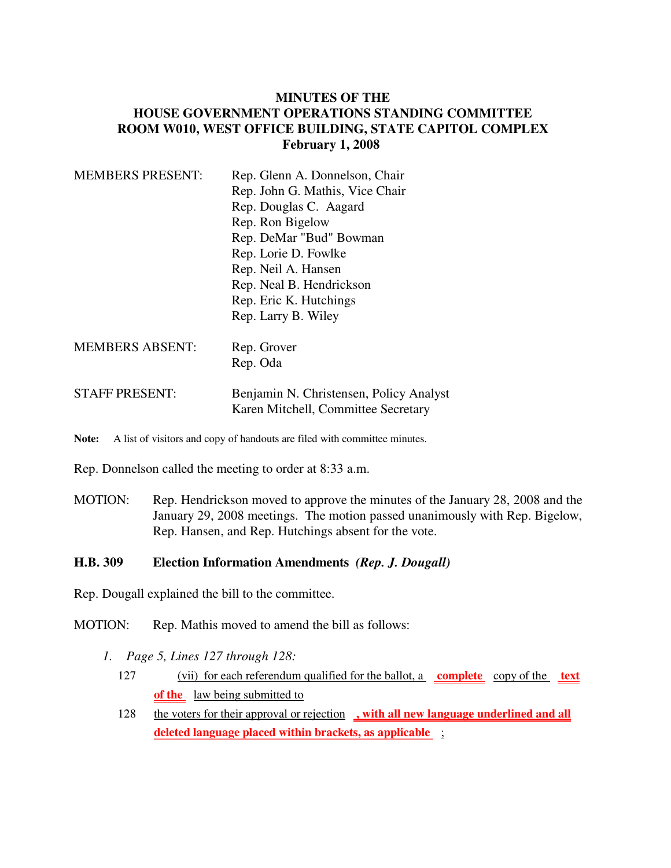## **MINUTES OF THE HOUSE GOVERNMENT OPERATIONS STANDING COMMITTEE ROOM W010, WEST OFFICE BUILDING, STATE CAPITOL COMPLEX February 1, 2008**

| <b>MEMBERS PRESENT:</b> | Rep. Glenn A. Donnelson, Chair                                                 |
|-------------------------|--------------------------------------------------------------------------------|
|                         | Rep. John G. Mathis, Vice Chair                                                |
|                         | Rep. Douglas C. Aagard                                                         |
|                         | Rep. Ron Bigelow                                                               |
|                         | Rep. DeMar "Bud" Bowman                                                        |
|                         | Rep. Lorie D. Fowlke                                                           |
|                         | Rep. Neil A. Hansen                                                            |
|                         | Rep. Neal B. Hendrickson                                                       |
|                         | Rep. Eric K. Hutchings                                                         |
|                         | Rep. Larry B. Wiley                                                            |
| <b>MEMBERS ABSENT:</b>  | Rep. Grover                                                                    |
|                         | Rep. Oda                                                                       |
| <b>STAFF PRESENT:</b>   | Benjamin N. Christensen, Policy Analyst<br>Karen Mitchell, Committee Secretary |
|                         |                                                                                |

Note: A list of visitors and copy of handouts are filed with committee minutes.

Rep. Donnelson called the meeting to order at 8:33 a.m.

MOTION: Rep. Hendrickson moved to approve the minutes of the January 28, 2008 and the January 29, 2008 meetings. The motion passed unanimously with Rep. Bigelow, Rep. Hansen, and Rep. Hutchings absent for the vote.

#### **H.B. 309 Election Information Amendments** *(Rep. J. Dougall)*

Rep. Dougall explained the bill to the committee.

MOTION: Rep. Mathis moved to amend the bill as follows:

- *1. Page 5, Lines 127 through 128:*
	- 127 (vii) for each referendum qualified for the ballot, a **complete** copy of the **text** of the law being submitted to
	- 128 the voters for their approval or rejection , with all new language underlined and all **deleted language placed within brackets, as applicable** ;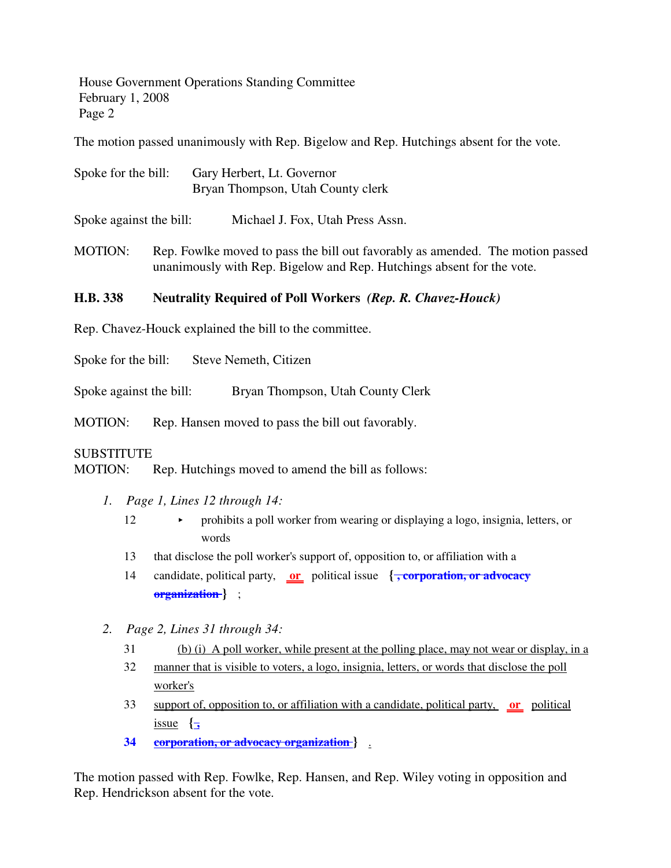House Government Operations Standing Committee February 1, 2008 Page 2

The motion passed unanimously with Rep. Bigelow and Rep. Hutchings absent for the vote.

Spoke for the bill: Gary Herbert, Lt. Governor Bryan Thompson, Utah County clerk

Spoke against the bill: Michael J. Fox, Utah Press Assn.

MOTION: Rep. Fowlke moved to pass the bill out favorably as amended. The motion passed unanimously with Rep. Bigelow and Rep. Hutchings absent for the vote.

# **H.B. 338 Neutrality Required of Poll Workers** *(Rep. R. Chavez-Houck)*

Rep. Chavez-Houck explained the bill to the committee.

Spoke for the bill: Steve Nemeth, Citizen

Spoke against the bill: Bryan Thompson, Utah County Clerk

MOTION: Rep. Hansen moved to pass the bill out favorably.

#### **SUBSTITUTE**

MOTION: Rep. Hutchings moved to amend the bill as follows:

- *1. Page 1, Lines 12 through 14:*
	- 12 < prohibits a poll worker from wearing or displaying a logo, insignia, letters, or words
	- 13 that disclose the poll worker's support of, opposition to, or affiliation with a
	- 14 candidate, political party, **or** political issue **{ , corporation, or advocacy organization }** ;
- *2. Page 2, Lines 31 through 34:*
	- 31 (b) (i) A poll worker, while present at the polling place, may not wear or display, in a
	- 32 manner that is visible to voters, a logo, insignia, letters, or words that disclose the poll worker's
	- 33 support of, opposition to, or affiliation with a candidate, political party, **or** political issue  $\left\{\frac{1}{2}\right\}$
	- **34 corporation, or advocacy organization }** .

The motion passed with Rep. Fowlke, Rep. Hansen, and Rep. Wiley voting in opposition and Rep. Hendrickson absent for the vote.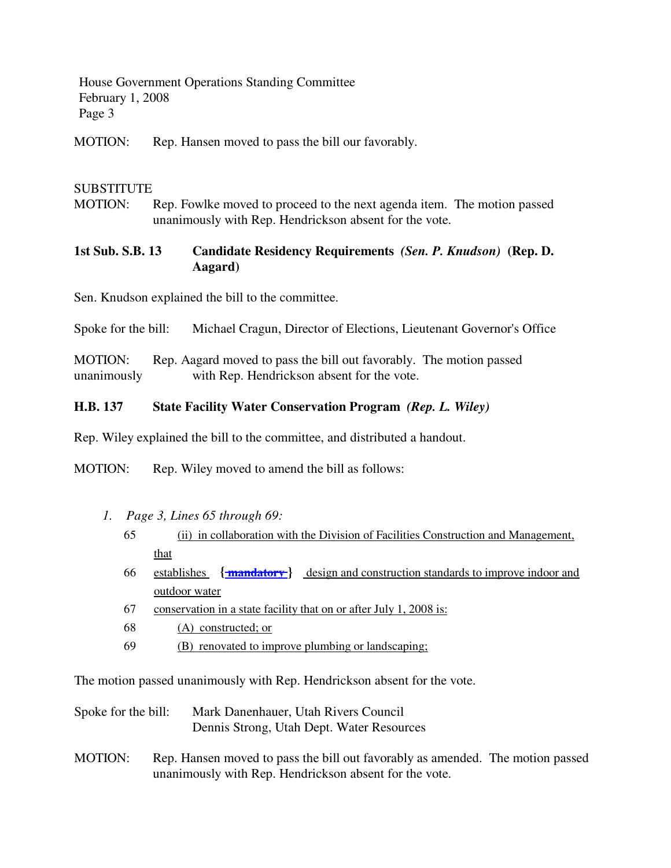House Government Operations Standing Committee February 1, 2008 Page 3

MOTION: Rep. Hansen moved to pass the bill our favorably.

#### **SUBSTITUTE**

MOTION: Rep. Fowlke moved to proceed to the next agenda item. The motion passed unanimously with Rep. Hendrickson absent for the vote.

### **1st Sub. S.B. 13 Candidate Residency Requirements** *(Sen. P. Knudson)* **(Rep. D. Aagard)**

Sen. Knudson explained the bill to the committee.

Spoke for the bill: Michael Cragun, Director of Elections, Lieutenant Governor's Office

MOTION: Rep. Aagard moved to pass the bill out favorably. The motion passed unanimously with Rep. Hendrickson absent for the vote.

#### **H.B. 137 State Facility Water Conservation Program** *(Rep. L. Wiley)*

Rep. Wiley explained the bill to the committee, and distributed a handout.

MOTION: Rep. Wiley moved to amend the bill as follows:

- *1. Page 3, Lines 65 through 69:*
	- 65 (ii) in collaboration with the Division of Facilities Construction and Management, that
	- 66 establishes **{ mandatory }** design and construction standards to improve indoor and outdoor water
	- 67 conservation in a state facility that on or after July 1, 2008 is:
	- 68 (A) constructed; or
	- 69 (B) renovated to improve plumbing or landscaping;

The motion passed unanimously with Rep. Hendrickson absent for the vote.

- Spoke for the bill: Mark Danenhauer, Utah Rivers Council Dennis Strong, Utah Dept. Water Resources
- MOTION: Rep. Hansen moved to pass the bill out favorably as amended. The motion passed unanimously with Rep. Hendrickson absent for the vote.